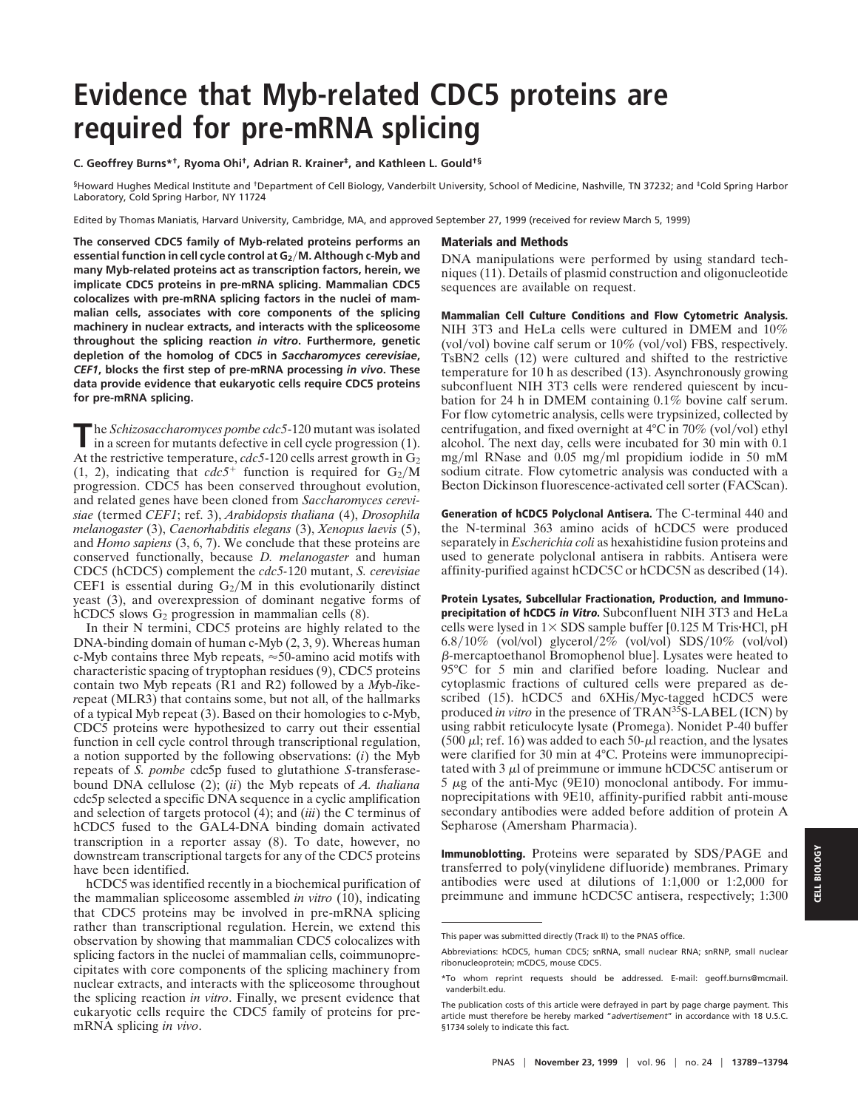# **Evidence that Myb-related CDC5 proteins are required for pre-mRNA splicing**

#### **C. Geoffrey Burns\*†, Ryoma Ohi†, Adrian R. Krainer‡, and Kathleen L. Gould†§**

§Howard Hughes Medical Institute and †Department of Cell Biology, Vanderbilt University, School of Medicine, Nashville, TN 37232; and ‡Cold Spring Harbor Laboratory, Cold Spring Harbor, NY 11724

Edited by Thomas Maniatis, Harvard University, Cambridge, MA, and approved September 27, 1999 (received for review March 5, 1999)

**The conserved CDC5 family of Myb-related proteins performs an essential function in cell cycle control at G2**y**M. Although c-Myb and many Myb-related proteins act as transcription factors, herein, we implicate CDC5 proteins in pre-mRNA splicing. Mammalian CDC5 colocalizes with pre-mRNA splicing factors in the nuclei of mammalian cells, associates with core components of the splicing machinery in nuclear extracts, and interacts with the spliceosome throughout the splicing reaction** *in vitro***. Furthermore, genetic depletion of the homolog of CDC5 in** *Saccharomyces cerevisiae***,** *CEF1***, blocks the first step of pre-mRNA processing** *in vivo***. These data provide evidence that eukaryotic cells require CDC5 proteins for pre-mRNA splicing.**

The *Schizosaccharomyces pombe cdc5*-120 mutant was isolated in a screen for mutants defective in cell cycle progression (1). At the restrictive temperature,  $cdc5$ -120 cells arrest growth in  $G_2$ (1, 2), indicating that  $cdc5^+$  function is required for  $G_2/M$ progression. CDC5 has been conserved throughout evolution, and related genes have been cloned from *Saccharomyces cerevisiae* (termed *CEF1*; ref. 3), *Arabidopsis thaliana* (4), *Drosophila melanogaster* (3), *Caenorhabditis elegans* (3), *Xenopus laevis* (5), and *Homo sapiens* (3, 6, 7). We conclude that these proteins are conserved functionally, because *D. melanogaster* and human CDC5 (hCDC5) complement the *cdc5-*120 mutant, *S. cerevisiae* CEF1 is essential during  $G_2/M$  in this evolutionarily distinct yeast (3), and overexpression of dominant negative forms of hCDC5 slows  $G_2$  progression in mammalian cells  $(8)$ .

In their N termini, CDC5 proteins are highly related to the DNA-binding domain of human c-Myb (2, 3, 9). Whereas human c-Myb contains three Myb repeats,  $\approx$  50-amino acid motifs with characteristic spacing of tryptophan residues (9), CDC5 proteins contain two Myb repeats (R1 and R2) followed by a *M*yb-*l*ike*r*epeat (MLR3) that contains some, but not all, of the hallmarks of a typical Myb repeat (3). Based on their homologies to c-Myb, CDC5 proteins were hypothesized to carry out their essential function in cell cycle control through transcriptional regulation, a notion supported by the following observations: (*i*) the Myb repeats of *S. pombe* cdc5p fused to glutathione *S*-transferasebound DNA cellulose (2); (*ii*) the Myb repeats of *A. thaliana* cdc5p selected a specific DNA sequence in a cyclic amplification and selection of targets protocol (4); and (*iii*) the C terminus of hCDC5 fused to the GAL4-DNA binding domain activated transcription in a reporter assay (8). To date, however, no downstream transcriptional targets for any of the CDC5 proteins have been identified.

hCDC5 was identified recently in a biochemical purification of the mammalian spliceosome assembled *in vitro* (10), indicating that CDC5 proteins may be involved in pre-mRNA splicing rather than transcriptional regulation. Herein, we extend this observation by showing that mammalian CDC5 colocalizes with splicing factors in the nuclei of mammalian cells, coimmunoprecipitates with core components of the splicing machinery from nuclear extracts, and interacts with the spliceosome throughout the splicing reaction *in vitro*. Finally, we present evidence that eukaryotic cells require the CDC5 family of proteins for premRNA splicing *in vivo*.

## **Materials and Methods**

DNA manipulations were performed by using standard techniques (11). Details of plasmid construction and oligonucleotide sequences are available on request.

**Mammalian Cell Culture Conditions and Flow Cytometric Analysis.** NIH 3T3 and HeLa cells were cultured in DMEM and 10% (vol/vol) bovine calf serum or  $10\%$  (vol/vol) FBS, respectively. TsBN2 cells (12) were cultured and shifted to the restrictive temperature for 10 h as described (13). Asynchronously growing subconfluent NIH 3T3 cells were rendered quiescent by incubation for 24 h in DMEM containing 0.1% bovine calf serum. For flow cytometric analysis, cells were trypsinized, collected by centrifugation, and fixed overnight at  $4^{\circ}$ C in 70% (vol/vol) ethyl alcohol. The next day, cells were incubated for 30 min with 0.1 mg/ml RNase and  $0.05$  mg/ml propidium iodide in 50 mM sodium citrate. Flow cytometric analysis was conducted with a Becton Dickinson fluorescence-activated cell sorter (FACScan).

**Generation of hCDC5 Polyclonal Antisera.** The C-terminal 440 and the N-terminal 363 amino acids of hCDC5 were produced separately in *Escherichia coli* as hexahistidine fusion proteins and used to generate polyclonal antisera in rabbits. Antisera were affinity-purified against hCDC5C or hCDC5N as described (14).

**Protein Lysates, Subcellular Fractionation, Production, and Immunoprecipitation of hCDC5 in Vitro.** Subconfluent NIH 3T3 and HeLa cells were lysed in  $1\times$  SDS sample buffer [0.125 M Tris $\times$ HCl, pH 6.8/10% (vol/vol) glycerol/2% (vol/vol) SDS/10% (vol/vol) b-mercaptoethanol Bromophenol blue]. Lysates were heated to 95°C for 5 min and clarified before loading. Nuclear and cytoplasmic fractions of cultured cells were prepared as described (15). hCDC5 and 6XHis/Myc-tagged hCDC5 were produced *in vitro* in the presence of TRAN35S-LABEL (ICN) by using rabbit reticulocyte lysate (Promega). Nonidet P-40 buffer (500  $\mu$ l; ref. 16) was added to each 50- $\mu$ l reaction, and the lysates were clarified for 30 min at 4°C. Proteins were immunoprecipitated with  $3 \mu$  of preimmune or immune hCDC5C antiserum or  $5 \mu$ g of the anti-Myc (9E10) monoclonal antibody. For immunoprecipitations with 9E10, affinity-purified rabbit anti-mouse secondary antibodies were added before addition of protein A Sepharose (Amersham Pharmacia).

**Immunoblotting.** Proteins were separated by SDS/PAGE and transferred to poly(vinylidene difluoride) membranes. Primary antibodies were used at dilutions of 1:1,000 or 1:2,000 for preimmune and immune hCDC5C antisera, respectively; 1:300

This paper was submitted directly (Track II) to the PNAS office.

Abbreviations: hCDC5, human CDC5; snRNA, small nuclear RNA; snRNP, small nuclear ribonucleoprotein; mCDC5, mouse CDC5.

<sup>\*</sup>To whom reprint requests should be addressed. E-mail: geoff.burns@mcmail. vanderbilt.edu.

The publication costs of this article were defrayed in part by page charge payment. This article must therefore be hereby marked "*advertisement*" in accordance with 18 U.S.C. §1734 solely to indicate this fact.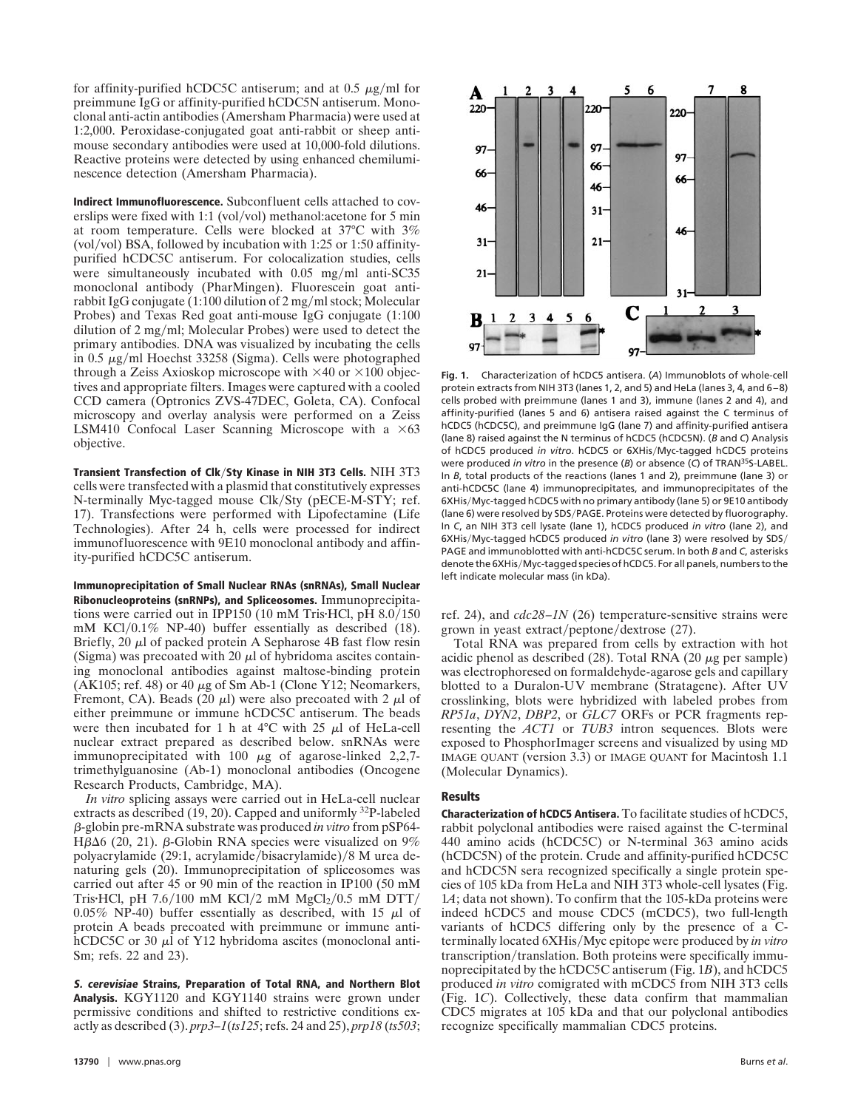for affinity-purified hCDC5C antiserum; and at  $0.5 \mu g/ml$  for preimmune IgG or affinity-purified hCDC5N antiserum. Monoclonal anti-actin antibodies (Amersham Pharmacia) were used at 1:2,000. Peroxidase-conjugated goat anti-rabbit or sheep antimouse secondary antibodies were used at 10,000-fold dilutions. Reactive proteins were detected by using enhanced chemiluminescence detection (Amersham Pharmacia).

**Indirect Immunofluorescence.** Subconfluent cells attached to coverslips were fixed with 1:1 (vol/vol) methanol: acetone for 5 min at room temperature. Cells were blocked at 37°C with 3% (vol/vol) BSA, followed by incubation with  $1:25$  or  $1:50$  affinitypurified hCDC5C antiserum. For colocalization studies, cells were simultaneously incubated with  $0.05$  mg/ml anti-SC35 monoclonal antibody (PharMingen). Fluorescein goat antirabbit IgG conjugate  $(1:100$  dilution of  $2 \text{ mg/ml stock}$ ; Molecular Probes) and Texas Red goat anti-mouse IgG conjugate (1:100 dilution of 2 mg/ml; Molecular Probes) were used to detect the primary antibodies. DNA was visualized by incubating the cells in 0.5  $\mu$ g/ml Hoechst 33258 (Sigma). Cells were photographed through a Zeiss Axioskop microscope with  $\times$ 40 or  $\times$ 100 objectives and appropriate filters. Images were captured with a cooled CCD camera (Optronics ZVS-47DEC, Goleta, CA). Confocal microscopy and overlay analysis were performed on a Zeiss LSM410 Confocal Laser Scanning Microscope with a  $\times 63$ objective.

**Transient Transfection of Clk/Sty Kinase in NIH 3T3 Cells.** NIH 3T3 cells were transfected with a plasmid that constitutively expresses N-terminally Myc-tagged mouse Clk/Sty (pECE-M-STY; ref. 17). Transfections were performed with Lipofectamine (Life Technologies). After 24 h, cells were processed for indirect immunofluorescence with 9E10 monoclonal antibody and affinity-purified hCDC5C antiserum.

**Immunoprecipitation of Small Nuclear RNAs (snRNAs), Small Nuclear Ribonucleoproteins (snRNPs), and Spliceosomes.** Immunoprecipitations were carried out in IPP150 (10 mM Tris $\textrm{HC}$ l, pH 8.0/150 mM KCl $/0.1\%$  NP-40) buffer essentially as described (18). Briefly,  $20 \mu l$  of packed protein A Sepharose 4B fast flow resin (Sigma) was precoated with 20  $\mu$ l of hybridoma ascites containing monoclonal antibodies against maltose-binding protein (AK105; ref. 48) or 40  $\mu$ g of Sm Ab-1 (Clone Y12; Neomarkers, Fremont, CA). Beads (20  $\mu$ l) were also precoated with 2  $\mu$ l of either preimmune or immune hCDC5C antiserum. The beads were then incubated for 1 h at  $4^{\circ}$ C with 25  $\mu$ l of HeLa-cell nuclear extract prepared as described below. snRNAs were immunoprecipitated with 100  $\mu$ g of agarose-linked 2,2,7trimethylguanosine (Ab-1) monoclonal antibodies (Oncogene Research Products, Cambridge, MA).

*In vitro* splicing assays were carried out in HeLa-cell nuclear extracts as described (19, 20). Capped and uniformly 32P-labeled b-globin pre-mRNA substrate was produced *in vitro* from pSP64-  $H\beta\Delta 6$  (20, 21).  $\beta$ -Globin RNA species were visualized on 9% polyacrylamide (29:1, acrylamide/bisacrylamide)/8 M urea denaturing gels (20). Immunoprecipitation of spliceosomes was carried out after 45 or 90 min of the reaction in IP100 (50 mM Tris•HCl, pH  $7.6/100$  mM KCl/2 mM MgCl<sub>2</sub>/0.5 mM DTT/ 0.05% NP-40) buffer essentially as described, with 15  $\mu$ l of protein A beads precoated with preimmune or immune antihCDC5C or 30  $\mu$ l of Y12 hybridoma ascites (monoclonal anti-Sm; refs. 22 and 23).

**S. cerevisiae Strains, Preparation of Total RNA, and Northern Blot Analysis.** KGY1120 and KGY1140 strains were grown under permissive conditions and shifted to restrictive conditions exactly as described (3). *prp3–1*(*ts125*; refs. 24 and 25), *prp18* (*ts503*;



**Fig. 1.** Characterization of hCDC5 antisera. (*A*) Immunoblots of whole-cell protein extracts from NIH 3T3 (lanes 1, 2, and 5) and HeLa (lanes 3, 4, and 6–8) cells probed with preimmune (lanes 1 and 3), immune (lanes 2 and 4), and affinity-purified (lanes 5 and 6) antisera raised against the C terminus of hCDC5 (hCDC5C), and preimmune IgG (lane 7) and affinity-purified antisera (lane 8) raised against the N terminus of hCDC5 (hCDC5N). (*B* and *C*) Analysis of hCDC5 produced *in vitro*. hCDC5 or 6XHisyMyc-tagged hCDC5 proteins were produced *in vitro* in the presence (*B*) or absence (*C*) of TRAN35S-LABEL. In *B*, total products of the reactions (lanes 1 and 2), preimmune (lane 3) or anti-hCDC5C (lane 4) immunoprecipitates, and immunoprecipitates of the 6XHis/Myc-tagged hCDC5 with no primary antibody (lane 5) or 9E10 antibody (lane 6) were resolved by SDS/PAGE. Proteins were detected by fluorography. In *C*, an NIH 3T3 cell lysate (lane 1), hCDC5 produced *in vitro* (lane 2), and 6XHisyMyc-tagged hCDC5 produced *in vitro* (lane 3) were resolved by SDSy PAGE and immunoblotted with anti-hCDC5C serum. In both *B* and *C*, asterisks denote the 6XHis/Myc-tagged species of hCDC5. For all panels, numbers to the left indicate molecular mass (in kDa).

ref. 24), and *cdc28–1N* (26) temperature-sensitive strains were grown in yeast extract/peptone/dextrose  $(27)$ .

Total RNA was prepared from cells by extraction with hot acidic phenol as described  $(28)$ . Total RNA  $(20 \mu$ g per sample) was electrophoresed on formaldehyde-agarose gels and capillary blotted to a Duralon-UV membrane (Stratagene). After UV crosslinking, blots were hybridized with labeled probes from *RP51a*, *DYN2*, *DBP2*, or *GLC7* ORFs or PCR fragments representing the *ACT1* or *TUB3* intron sequences. Blots were exposed to PhosphorImager screens and visualized by using MD IMAGE QUANT (version 3.3) or IMAGE QUANT for Macintosh 1.1 (Molecular Dynamics).

### **Results**

**Characterization of hCDC5 Antisera.** To facilitate studies of hCDC5, rabbit polyclonal antibodies were raised against the C-terminal 440 amino acids (hCDC5C) or N-terminal 363 amino acids (hCDC5N) of the protein. Crude and affinity-purified hCDC5C and hCDC5N sera recognized specifically a single protein species of 105 kDa from HeLa and NIH 3T3 whole-cell lysates (Fig. 1*A*; data not shown). To confirm that the 105-kDa proteins were indeed hCDC5 and mouse CDC5 (mCDC5), two full-length variants of hCDC5 differing only by the presence of a Cterminally located 6XHis/Myc epitope were produced by *in vitro* transcription/translation. Both proteins were specifically immunoprecipitated by the hCDC5C antiserum (Fig. 1*B*), and hCDC5 produced *in vitro* comigrated with mCDC5 from NIH 3T3 cells (Fig. 1*C*). Collectively, these data confirm that mammalian CDC5 migrates at 105 kDa and that our polyclonal antibodies recognize specifically mammalian CDC5 proteins.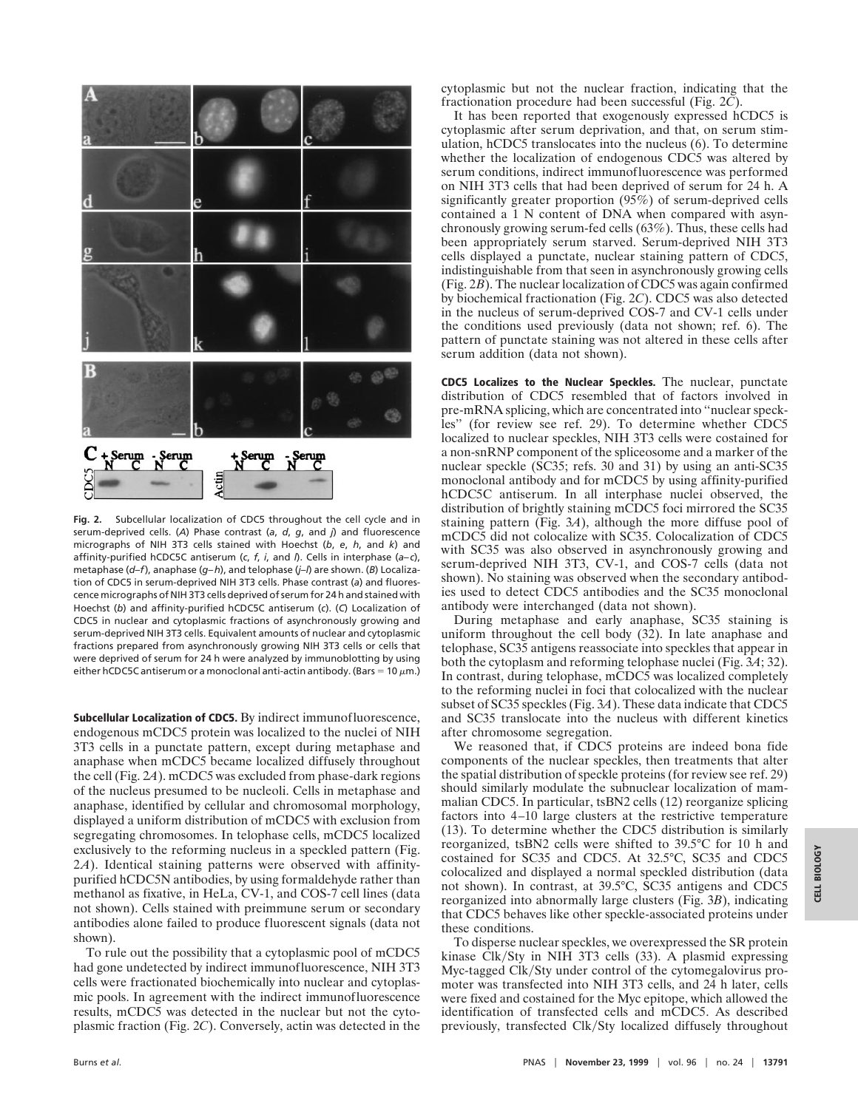

**Fig. 2.** Subcellular localization of CDC5 throughout the cell cycle and in serum-deprived cells. (*A*) Phase contrast (*a*, *d*, *g*, and *j*) and fluorescence micrographs of NIH 3T3 cells stained with Hoechst (*b*, *e*, *h*, and *k*) and affinity-purified hCDC5C antiserum (*c*, *f*, *i*, and *l*). Cells in interphase (*a–c*), metaphase (*d–f*), anaphase (*g–h*), and telophase (*j–l*) are shown. (*B*) Localization of CDC5 in serum-deprived NIH 3T3 cells. Phase contrast (*a*) and fluorescence micrographs of NIH 3T3 cells deprived of serum for 24 h and stained with Hoechst (*b*) and affinity-purified hCDC5C antiserum (*c*). (*C*) Localization of CDC5 in nuclear and cytoplasmic fractions of asynchronously growing and serum-deprived NIH 3T3 cells. Equivalent amounts of nuclear and cytoplasmic fractions prepared from asynchronously growing NIH 3T3 cells or cells that were deprived of serum for 24 h were analyzed by immunoblotting by using either hCDC5C antiserum or a monoclonal anti-actin antibody. (Bars =  $10 \mu m$ .)

**Subcellular Localization of CDC5.** By indirect immunofluorescence, endogenous mCDC5 protein was localized to the nuclei of NIH 3T3 cells in a punctate pattern, except during metaphase and anaphase when mCDC5 became localized diffusely throughout the cell (Fig. 2*A*). mCDC5 was excluded from phase-dark regions of the nucleus presumed to be nucleoli. Cells in metaphase and anaphase, identified by cellular and chromosomal morphology, displayed a uniform distribution of mCDC5 with exclusion from segregating chromosomes. In telophase cells, mCDC5 localized exclusively to the reforming nucleus in a speckled pattern (Fig. 2*A*). Identical staining patterns were observed with affinitypurified hCDC5N antibodies, by using formaldehyde rather than methanol as fixative, in HeLa, CV-1, and COS-7 cell lines (data not shown). Cells stained with preimmune serum or secondary antibodies alone failed to produce fluorescent signals (data not shown).

To rule out the possibility that a cytoplasmic pool of mCDC5 had gone undetected by indirect immunofluorescence, NIH 3T3 cells were fractionated biochemically into nuclear and cytoplasmic pools. In agreement with the indirect immunofluorescence results, mCDC5 was detected in the nuclear but not the cytoplasmic fraction (Fig. 2*C*). Conversely, actin was detected in the

cytoplasmic but not the nuclear fraction, indicating that the fractionation procedure had been successful (Fig. 2*C*).

It has been reported that exogenously expressed hCDC5 is cytoplasmic after serum deprivation, and that, on serum stimulation, hCDC5 translocates into the nucleus (6). To determine whether the localization of endogenous CDC5 was altered by serum conditions, indirect immunofluorescence was performed on NIH 3T3 cells that had been deprived of serum for 24 h. A significantly greater proportion (95%) of serum-deprived cells contained a 1 N content of DNA when compared with asynchronously growing serum-fed cells (63%). Thus, these cells had been appropriately serum starved. Serum-deprived NIH 3T3 cells displayed a punctate, nuclear staining pattern of CDC5, indistinguishable from that seen in asynchronously growing cells (Fig. 2*B*). The nuclear localization of CDC5 was again confirmed by biochemical fractionation (Fig. 2*C*). CDC5 was also detected in the nucleus of serum-deprived COS-7 and CV-1 cells under the conditions used previously (data not shown; ref. 6). The pattern of punctate staining was not altered in these cells after serum addition (data not shown).

**CDC5 Localizes to the Nuclear Speckles.** The nuclear, punctate distribution of CDC5 resembled that of factors involved in pre-mRNA splicing, which are concentrated into ''nuclear speckles'' (for review see ref. 29). To determine whether CDC5 localized to nuclear speckles, NIH 3T3 cells were costained for a non-snRNP component of the spliceosome and a marker of the nuclear speckle (SC35; refs. 30 and 31) by using an anti-SC35 monoclonal antibody and for mCDC5 by using affinity-purified hCDC5C antiserum. In all interphase nuclei observed, the distribution of brightly staining mCDC5 foci mirrored the SC35 staining pattern (Fig. 3*A*), although the more diffuse pool of mCDC5 did not colocalize with SC35. Colocalization of CDC5 with SC35 was also observed in asynchronously growing and serum-deprived NIH 3T3, CV-1, and COS-7 cells (data not shown). No staining was observed when the secondary antibodies used to detect CDC5 antibodies and the SC35 monoclonal antibody were interchanged (data not shown).

During metaphase and early anaphase, SC35 staining is uniform throughout the cell body (32). In late anaphase and telophase, SC35 antigens reassociate into speckles that appear in both the cytoplasm and reforming telophase nuclei (Fig. 3*A*; 32). In contrast, during telophase, mCDC5 was localized completely to the reforming nuclei in foci that colocalized with the nuclear subset of SC35 speckles (Fig. 3*A*). These data indicate that CDC5 and SC35 translocate into the nucleus with different kinetics after chromosome segregation.

We reasoned that, if CDC5 proteins are indeed bona fide components of the nuclear speckles, then treatments that alter the spatial distribution of speckle proteins (for review see ref. 29) should similarly modulate the subnuclear localization of mammalian CDC5. In particular, tsBN2 cells (12) reorganize splicing factors into 4–10 large clusters at the restrictive temperature (13). To determine whether the CDC5 distribution is similarly reorganized, tsBN2 cells were shifted to 39.5°C for 10 h and costained for SC35 and CDC5. At 32.5°C, SC35 and CDC5 colocalized and displayed a normal speckled distribution (data not shown). In contrast, at 39.5°C, SC35 antigens and CDC5 reorganized into abnormally large clusters (Fig. 3*B*), indicating that CDC5 behaves like other speckle-associated proteins under these conditions.

To disperse nuclear speckles, we overexpressed the SR protein kinase Clk/Sty in NIH 3T3 cells (33). A plasmid expressing Myc-tagged Clk/Sty under control of the cytomegalovirus promoter was transfected into NIH 3T3 cells, and 24 h later, cells were fixed and costained for the Myc epitope, which allowed the identification of transfected cells and mCDC5. As described previously, transfected Clk/Sty localized diffusely throughout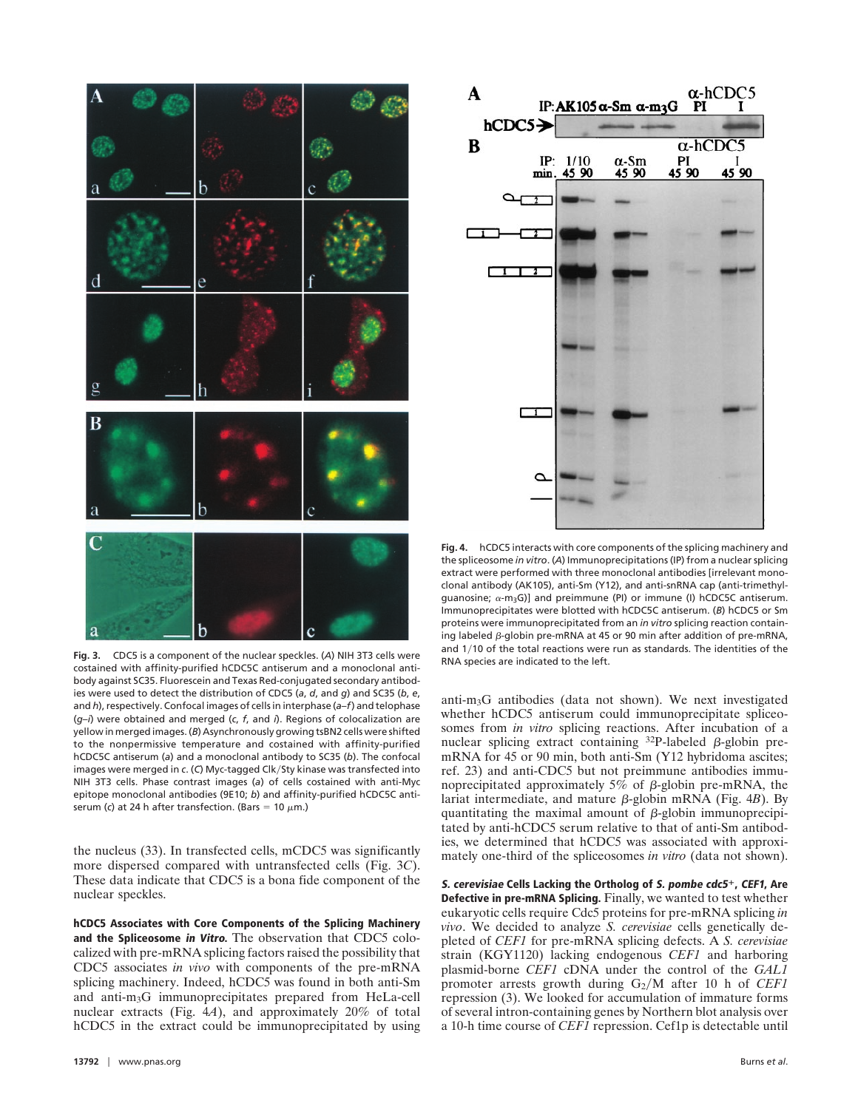

**Fig. 3.** CDC5 is a component of the nuclear speckles. (*A*) NIH 3T3 cells were costained with affinity-purified hCDC5C antiserum and a monoclonal antibody against SC35. Fluorescein and Texas Red-conjugated secondary antibodies were used to detect the distribution of CDC5 (*a*, *d*, and *g*) and SC35 (*b*, *e*, and *h*), respectively. Confocal images of cells in interphase (*a–f*) and telophase (*g–i*) were obtained and merged (*c*, *f*, and *i*). Regions of colocalization are yellow in merged images. (*B*) Asynchronously growing tsBN2 cells were shifted to the nonpermissive temperature and costained with affinity-purified hCDC5C antiserum (*a*) and a monoclonal antibody to SC35 (*b*). The confocal images were merged in c. (C) Myc-tagged Clk/Sty kinase was transfected into NIH 3T3 cells. Phase contrast images (*a*) of cells costained with anti-Myc epitope monoclonal antibodies (9E10; *b*) and affinity-purified hCDC5C antiserum (*c*) at 24 h after transfection. (Bars = 10  $\mu$ m.)

the nucleus (33). In transfected cells, mCDC5 was significantly more dispersed compared with untransfected cells (Fig. 3*C*). These data indicate that CDC5 is a bona fide component of the nuclear speckles.

**hCDC5 Associates with Core Components of the Splicing Machinery and the Spliceosome in Vitro.** The observation that CDC5 colocalized with pre-mRNA splicing factors raised the possibility that CDC5 associates *in vivo* with components of the pre-mRNA splicing machinery. Indeed, hCDC5 was found in both anti-Sm and anti-m3G immunoprecipitates prepared from HeLa-cell nuclear extracts (Fig. 4*A*), and approximately 20% of total hCDC5 in the extract could be immunoprecipitated by using



**Fig. 4.** hCDC5 interacts with core components of the splicing machinery and the spliceosome *in vitro*. (*A*) Immunoprecipitations (IP) from a nuclear splicing extract were performed with three monoclonal antibodies [irrelevant monoclonal antibody (AK105), anti-Sm (Y12), and anti-snRNA cap (anti-trimethylguanosine;  $\alpha$ -m<sub>3</sub>G)] and preimmune (PI) or immune (I) hCDC5C antiserum. Immunoprecipitates were blotted with hCDC5C antiserum. (*B*) hCDC5 or Sm proteins were immunoprecipitated from an *in vitro* splicing reaction containing labeled  $\beta$ -globin pre-mRNA at 45 or 90 min after addition of pre-mRNA, and 1/10 of the total reactions were run as standards. The identities of the RNA species are indicated to the left.

anti-m3G antibodies (data not shown). We next investigated whether hCDC5 antiserum could immunoprecipitate spliceosomes from *in vitro* splicing reactions. After incubation of a nuclear splicing extract containing  $32P$ -labeled  $\beta$ -globin premRNA for 45 or 90 min, both anti-Sm (Y12 hybridoma ascites; ref. 23) and anti-CDC5 but not preimmune antibodies immunoprecipitated approximately 5% of  $\beta$ -globin pre-mRNA, the lariat intermediate, and mature β-globin mRNA (Fig. 4*B*). By quantitating the maximal amount of  $\beta$ -globin immunoprecipitated by anti-hCDC5 serum relative to that of anti-Sm antibodies, we determined that hCDC5 was associated with approximately one-third of the spliceosomes *in vitro* (data not shown).

**S. cerevisiae Cells Lacking the Ortholog of S. pombe cdc5**1**, CEF1, Are Defective in pre-mRNA Splicing.** Finally, we wanted to test whether eukaryotic cells require Cdc5 proteins for pre-mRNA splicing *in vivo*. We decided to analyze *S. cerevisiae* cells genetically depleted of *CEF1* for pre-mRNA splicing defects. A *S. cerevisiae* strain (KGY1120) lacking endogenous *CEF1* and harboring plasmid-borne *CEF1* cDNA under the control of the *GAL1* promoter arrests growth during  $G_2/M$  after 10 h of *CEF1* repression (3). We looked for accumulation of immature forms of several intron-containing genes by Northern blot analysis over a 10-h time course of *CEF1* repression. Cef1p is detectable until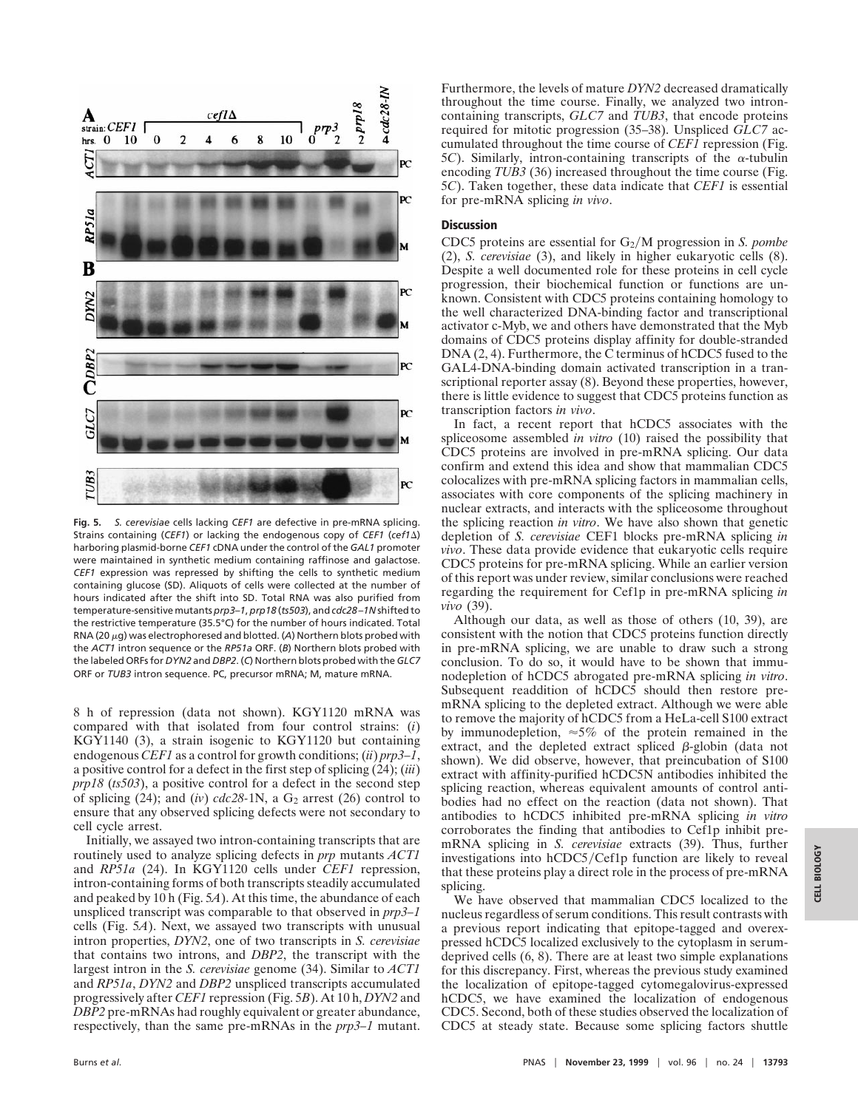

**Fig. 5.** *S. cerevisiae* cells lacking *CEF1* are defective in pre-mRNA splicing. Strains containing (*CEF1*) or lacking the endogenous copy of *CEF1* (*cef1*D) harboring plasmid-borne *CEF1* cDNA under the control of the *GAL1* promoter were maintained in synthetic medium containing raffinose and galactose. *CEF1* expression was repressed by shifting the cells to synthetic medium containing glucose (SD). Aliquots of cells were collected at the number of hours indicated after the shift into SD. Total RNA was also purified from temperature-sensitive mutants *prp3–1*, *prp18* (*ts503*), and *cdc28–1N* shifted to the restrictive temperature (35.5°C) for the number of hours indicated. Total RNA (20  $\mu$ g) was electrophoresed and blotted. (A) Northern blots probed with the *ACT1* intron sequence or the *RP51a* ORF. (*B*) Northern blots probed with the labeled ORFs for *DYN2* and *DBP2*. (*C*) Northern blots probed with the *GLC7* ORF or *TUB3* intron sequence. PC, precursor mRNA; M, mature mRNA.

8 h of repression (data not shown). KGY1120 mRNA was compared with that isolated from four control strains: (*i*) KGY1140 (3), a strain isogenic to KGY1120 but containing endogenous *CEF1* as a control for growth conditions; (*ii*) *prp3–1*, a positive control for a defect in the first step of splicing (24); (*iii*) *prp18* (*ts503*), a positive control for a defect in the second step of splicing  $(24)$ ; and  $(iv)$  *cdc* $28-1$ N, a G<sub>2</sub> arrest  $(26)$  control to ensure that any observed splicing defects were not secondary to cell cycle arrest.

Initially, we assayed two intron-containing transcripts that are routinely used to analyze splicing defects in *prp* mutants *ACT1* and *RP51a* (24). In KGY1120 cells under *CEF1* repression, intron-containing forms of both transcripts steadily accumulated and peaked by 10 h (Fig. 5*A*). At this time, the abundance of each unspliced transcript was comparable to that observed in *prp3–1* cells (Fig. 5*A*). Next, we assayed two transcripts with unusual intron properties, *DYN2*, one of two transcripts in *S. cerevisiae* that contains two introns, and *DBP2*, the transcript with the largest intron in the *S. cerevisiae* genome (34). Similar to *ACT1* and *RP51a*, *DYN2* and *DBP2* unspliced transcripts accumulated progressively after *CEF1* repression (Fig. 5*B*). At 10 h, *DYN2* and *DBP2* pre-mRNAs had roughly equivalent or greater abundance, respectively, than the same pre-mRNAs in the *prp3–1* mutant.

Furthermore, the levels of mature *DYN2* decreased dramatically throughout the time course. Finally, we analyzed two introncontaining transcripts, *GLC7* and *TUB3*, that encode proteins required for mitotic progression (35–38). Unspliced *GLC7* accumulated throughout the time course of *CEF1* repression (Fig.  $5C$ ). Similarly, intron-containing transcripts of the  $\alpha$ -tubulin encoding *TUB3* (36) increased throughout the time course (Fig. 5*C*). Taken together, these data indicate that *CEF1* is essential for pre-mRNA splicing *in vivo*.

#### **Discussion**

CDC5 proteins are essential for G<sub>2</sub>/M progression in *S. pombe* (2), *S. cerevisiae* (3), and likely in higher eukaryotic cells (8). Despite a well documented role for these proteins in cell cycle progression, their biochemical function or functions are unknown. Consistent with CDC5 proteins containing homology to the well characterized DNA-binding factor and transcriptional activator c-Myb, we and others have demonstrated that the Myb domains of CDC5 proteins display affinity for double-stranded  $DNA (2, 4)$ . Furthermore, the  $\hat{C}$  terminus of hCDC5 fused to the GAL4-DNA-binding domain activated transcription in a transcriptional reporter assay (8). Beyond these properties, however, there is little evidence to suggest that CDC5 proteins function as transcription factors *in vivo*.

In fact, a recent report that hCDC5 associates with the spliceosome assembled *in vitro* (10) raised the possibility that CDC5 proteins are involved in pre-mRNA splicing. Our data confirm and extend this idea and show that mammalian CDC5 colocalizes with pre-mRNA splicing factors in mammalian cells, associates with core components of the splicing machinery in nuclear extracts, and interacts with the spliceosome throughout the splicing reaction *in vitro*. We have also shown that genetic depletion of *S. cerevisiae* CEF1 blocks pre-mRNA splicing *in vivo*. These data provide evidence that eukaryotic cells require CDC5 proteins for pre-mRNA splicing. While an earlier version of this report was under review, similar conclusions were reached regarding the requirement for Cef1p in pre-mRNA splicing *in vivo* (39).

Although our data, as well as those of others (10, 39), are consistent with the notion that CDC5 proteins function directly in pre-mRNA splicing, we are unable to draw such a strong conclusion. To do so, it would have to be shown that immunodepletion of hCDC5 abrogated pre-mRNA splicing *in vitro*. Subsequent readdition of hCDC5 should then restore premRNA splicing to the depleted extract. Although we were able to remove the majority of hCDC5 from a HeLa-cell S100 extract by immunodepletion,  $\approx 5\%$  of the protein remained in the extract, and the depleted extract spliced  $\beta$ -globin (data not shown). We did observe, however, that preincubation of S100 extract with affinity-purified hCDC5N antibodies inhibited the splicing reaction, whereas equivalent amounts of control antibodies had no effect on the reaction (data not shown). That antibodies to hCDC5 inhibited pre-mRNA splicing *in vitro* corroborates the finding that antibodies to Cef1p inhibit premRNA splicing in *S. cerevisiae* extracts (39). Thus, further investigations into hCDC5/Cef1p function are likely to reveal that these proteins play a direct role in the process of pre-mRNA splicing.

We have observed that mammalian CDC5 localized to the nucleus regardless of serum conditions. This result contrasts with a previous report indicating that epitope-tagged and overexpressed hCDC5 localized exclusively to the cytoplasm in serumdeprived cells (6, 8). There are at least two simple explanations for this discrepancy. First, whereas the previous study examined the localization of epitope-tagged cytomegalovirus-expressed hCDC5, we have examined the localization of endogenous CDC5. Second, both of these studies observed the localization of CDC5 at steady state. Because some splicing factors shuttle